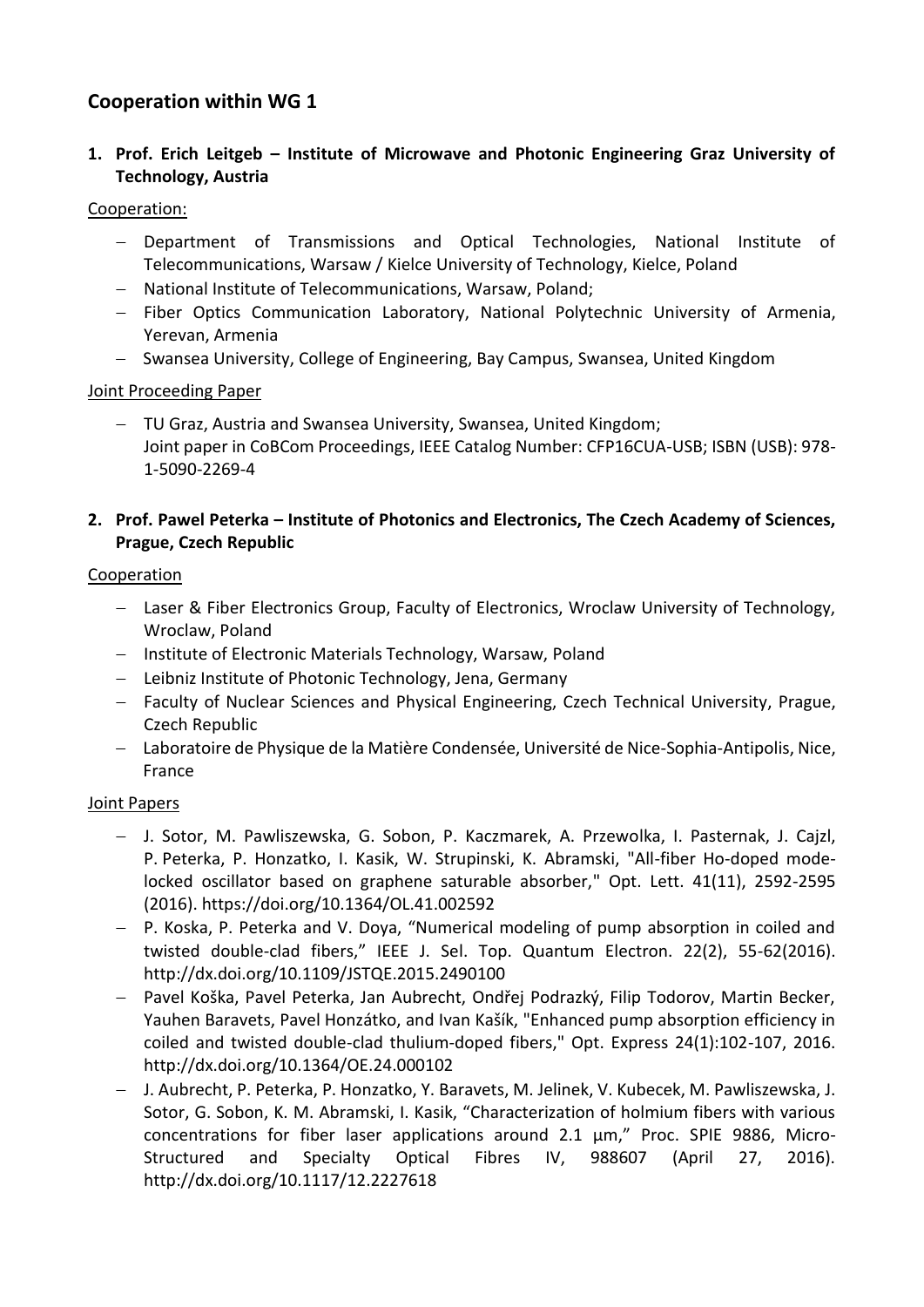# **Cooperation within WG 1**

**1. Prof. Erich Leitgeb – Institute of Microwave and Photonic Engineering Graz University of Technology, Austria**

#### Cooperation:

- Department of Transmissions and Optical Technologies, National Institute of Telecommunications, Warsaw / Kielce University of Technology, Kielce, Poland
- National Institute of Telecommunications, Warsaw, Poland;
- Fiber Optics Communication Laboratory, National Polytechnic University of Armenia, Yerevan, Armenia
- Swansea University, College of Engineering, Bay Campus, Swansea, United Kingdom

#### Joint Proceeding Paper

 TU Graz, Austria and Swansea University, Swansea, United Kingdom; Joint paper in CoBCom Proceedings, IEEE Catalog Number: CFP16CUA-USB; ISBN (USB): 978- 1-5090-2269-4

### **2. Prof. Pawel Peterka – Institute of Photonics and Electronics, The Czech Academy of Sciences, Prague, Czech Republic**

#### Cooperation

- Laser & Fiber Electronics Group, Faculty of Electronics, Wroclaw University of Technology, Wroclaw, Poland
- Institute of Electronic Materials Technology, Warsaw, Poland
- Leibniz Institute of Photonic Technology, Jena, Germany
- Faculty of Nuclear Sciences and Physical Engineering, Czech Technical University, Prague, Czech Republic
- Laboratoire de Physique de la Matière Condensée, Université de Nice-Sophia-Antipolis, Nice, France

#### Joint Papers

- J. Sotor, M. Pawliszewska, G. Sobon, P. Kaczmarek, A. Przewolka, I. Pasternak, J. Cajzl, P. Peterka, P. Honzatko, I. Kasik, W. Strupinski, K. Abramski, "All-fiber Ho-doped modelocked oscillator based on graphene saturable absorber," Opt. Lett. 41(11), 2592-2595 (2016).<https://doi.org/10.1364/OL.41.002592>
- P. Koska, P. Peterka and V. Doya, "Numerical modeling of pump absorption in coiled and twisted double-clad fibers," IEEE J. Sel. Top. Quantum Electron. 22(2), 55-62(2016). <http://dx.doi.org/10.1109/JSTQE.2015.2490100>
- Pavel Koška, Pavel Peterka, Jan Aubrecht, Ondřej Podrazký, Filip Todorov, Martin Becker, Yauhen Baravets, Pavel Honzátko, and Ivan Kašík, "Enhanced pump absorption efficiency in coiled and twisted double-clad thulium-doped fibers," Opt. Express 24(1):102-107, 2016. <http://dx.doi.org/10.1364/OE.24.000102>
- J. Aubrecht, P. Peterka, P. Honzatko, Y. Baravets, M. Jelinek, V. Kubecek, M. Pawliszewska, J. Sotor, G. Sobon, K. M. Abramski, I. Kasik, "Characterization of holmium fibers with various concentrations for fiber laser applications around 2.1 μm," Proc. SPIE 9886, Micro-Structured and Specialty Optical Fibres IV, 988607 (April 27, 2016). <http://dx.doi.org/10.1117/12.2227618>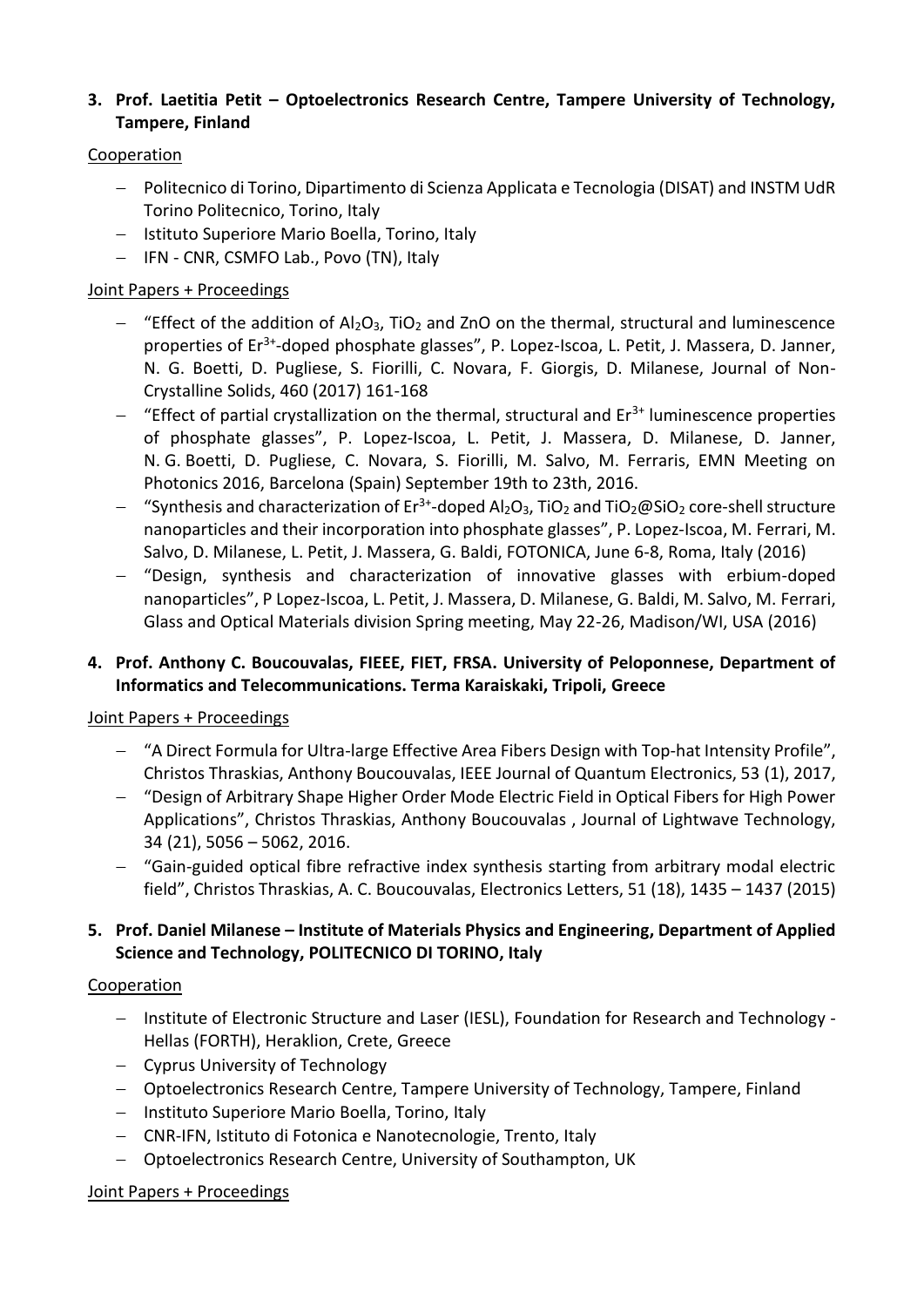#### **3. Prof. Laetitia Petit – Optoelectronics Research Centre, Tampere University of Technology, Tampere, Finland**

#### Cooperation

- Politecnico di Torino, Dipartimento di Scienza Applicata e Tecnologia (DISAT) and INSTM UdR Torino Politecnico, Torino, Italy
- Istituto Superiore Mario Boella, Torino, Italy
- IFN CNR, CSMFO Lab., Povo (TN), Italy

## Joint Papers + Proceedings

- $-$  "Effect of the addition of Al<sub>2</sub>O<sub>3</sub>, TiO<sub>2</sub> and ZnO on the thermal, structural and luminescence properties of Er<sup>3+</sup>-doped phosphate glasses", P. Lopez-Iscoa, L. Petit, J. Massera, D. Janner, N. G. Boetti, D. Pugliese, S. Fiorilli, C. Novara, F. Giorgis, D. Milanese, Journal of Non-Crystalline Solids, 460 (2017) 161-168
- $-$  "Effect of partial crystallization on the thermal, structural and Er<sup>3+</sup> luminescence properties of phosphate glasses", P. Lopez-Iscoa, L. Petit, J. Massera, D. Milanese, D. Janner, N. G. Boetti, D. Pugliese, C. Novara, S. Fiorilli, M. Salvo, M. Ferraris, EMN Meeting on Photonics 2016, Barcelona (Spain) September 19th to 23th, 2016.
- $-$  "Synthesis and characterization of Er<sup>3+</sup>-doped Al<sub>2</sub>O<sub>3</sub>, TiO<sub>2</sub> and TiO<sub>2</sub>@SiO<sub>2</sub> core-shell structure nanoparticles and their incorporation into phosphate glasses", P. Lopez-Iscoa, M. Ferrari, M. Salvo, D. Milanese, L. Petit, J. Massera, G. Baldi, FOTONICA, June 6-8, Roma, Italy (2016)
- "Design, synthesis and characterization of innovative glasses with erbium-doped nanoparticles", P Lopez-Iscoa, L. Petit, J. Massera, D. Milanese, G. Baldi, M. Salvo, M. Ferrari, Glass and Optical Materials division Spring meeting, May 22-26, Madison/WI, USA (2016)

## **4. Prof. Anthony C. Boucouvalas, FIEEE, FIET, FRSA. University of Peloponnese, Department of Informatics and Telecommunications. Terma Karaiskaki, Tripoli, Greece**

#### Joint Papers + Proceedings

- "A Direct Formula for Ultra-large Effective Area Fibers Design with Top-hat Intensity Profile", Christos Thraskias, Anthony Boucouvalas, IEEE Journal of Quantum Electronics, 53 (1), 2017,
- "Design of Arbitrary Shape Higher Order Mode Electric Field in Optical Fibers for High Power Applications", Christos Thraskias, Anthony Boucouvalas , Journal of Lightwave Technology, 34 (21), 5056 – 5062, 2016.
- "Gain-guided optical fibre refractive index synthesis starting from arbitrary modal electric field", Christos Thraskias, A. C. Boucouvalas, Electronics Letters, 51 (18), 1435 – 1437 (2015)

## **5. Prof. Daniel Milanese – Institute of Materials Physics and Engineering, Department of Applied Science and Technology, POLITECNICO DI TORINO, Italy**

#### Cooperation

- Institute of Electronic Structure and Laser (IESL), Foundation for Research and Technology -Hellas (FORTH), Heraklion, Crete, Greece
- Cyprus University of Technology
- Optoelectronics Research Centre, Tampere University of Technology, Tampere, Finland
- Instituto Superiore Mario Boella, Torino, Italy
- CNR-IFN, Istituto di Fotonica e Nanotecnologie, Trento, Italy
- Optoelectronics Research Centre, University of Southampton, UK

#### Joint Papers + Proceedings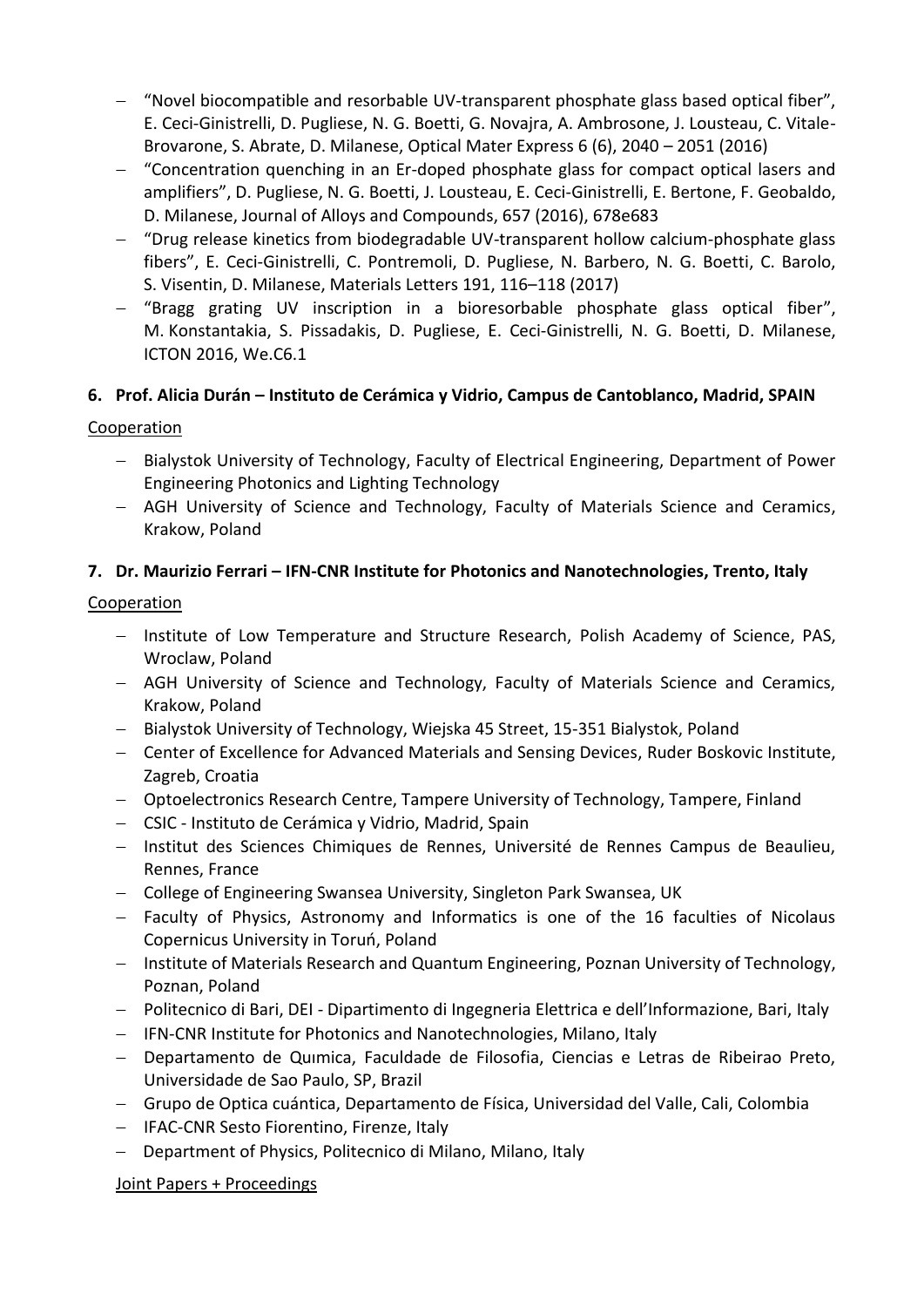- "Novel biocompatible and resorbable UV-transparent phosphate glass based optical fiber", E. Ceci-Ginistrelli, D. Pugliese, N. G. Boetti, G. Novajra, A. Ambrosone, J. Lousteau, C. Vitale-Brovarone, S. Abrate, D. Milanese, Optical Mater Express 6 (6), 2040 – 2051 (2016)
- "Concentration quenching in an Er-doped phosphate glass for compact optical lasers and amplifiers", D. Pugliese, N. G. Boetti, J. Lousteau, E. Ceci-Ginistrelli, E. Bertone, F. Geobaldo, D. Milanese, Journal of Alloys and Compounds, 657 (2016), 678e683
- "Drug release kinetics from biodegradable UV-transparent hollow calcium-phosphate glass fibers", E. Ceci-Ginistrelli, C. Pontremoli, D. Pugliese, N. Barbero, N. G. Boetti, C. Barolo, S. Visentin, D. Milanese, Materials Letters 191, 116–118 (2017)
- "Bragg grating UV inscription in a bioresorbable phosphate glass optical fiber", M. Konstantakia, S. Pissadakis, D. Pugliese, E. Ceci-Ginistrelli, N. G. Boetti, D. Milanese, ICTON 2016, We.C6.1

# **6. Prof. Alicia Durán – Instituto de Cerámica y Vidrio, Campus de Cantoblanco, Madrid, SPAIN**

## Cooperation

- Bialystok University of Technology, Faculty of Electrical Engineering, Department of Power Engineering Photonics and Lighting Technology
- AGH University of Science and Technology, Faculty of Materials Science and Ceramics, Krakow, Poland

## **7. Dr. Maurizio Ferrari – IFN-CNR Institute for Photonics and Nanotechnologies, Trento, Italy**

## Cooperation

- Institute of Low Temperature and Structure Research, Polish Academy of Science, PAS, Wroclaw, Poland
- AGH University of Science and Technology, Faculty of Materials Science and Ceramics, Krakow, Poland
- Bialystok University of Technology, Wiejska 45 Street, 15-351 Bialystok, Poland
- Center of Excellence for Advanced Materials and Sensing Devices, Ruder Boskovic Institute, Zagreb, Croatia
- Optoelectronics Research Centre, Tampere University of Technology, Tampere, Finland
- CSIC Instituto de Cerámica y Vidrio, Madrid, Spain
- Institut des Sciences Chimiques de Rennes, Université de Rennes Campus de Beaulieu, Rennes, France
- College of Engineering Swansea University, Singleton Park Swansea, UK
- Faculty of Physics, Astronomy and Informatics is one of the 16 faculties of Nicolaus Copernicus University in Toruń, Poland
- Institute of Materials Research and Quantum Engineering, Poznan University of Technology, Poznan, Poland
- Politecnico di Bari, DEI Dipartimento di Ingegneria Elettrica e dell'Informazione, Bari, Italy
- IFN-CNR Institute for Photonics and Nanotechnologies, Milano, Italy
- Departamento de Quımica, Faculdade de Filosofia, Ciencias e Letras de Ribeirao Preto, Universidade de Sao Paulo, SP, Brazil
- Grupo de Optica cuántica, Departamento de Física, Universidad del Valle, Cali, Colombia
- IFAC-CNR Sesto Fiorentino, Firenze, Italy
- Department of Physics, Politecnico di Milano, Milano, Italy

#### Joint Papers + Proceedings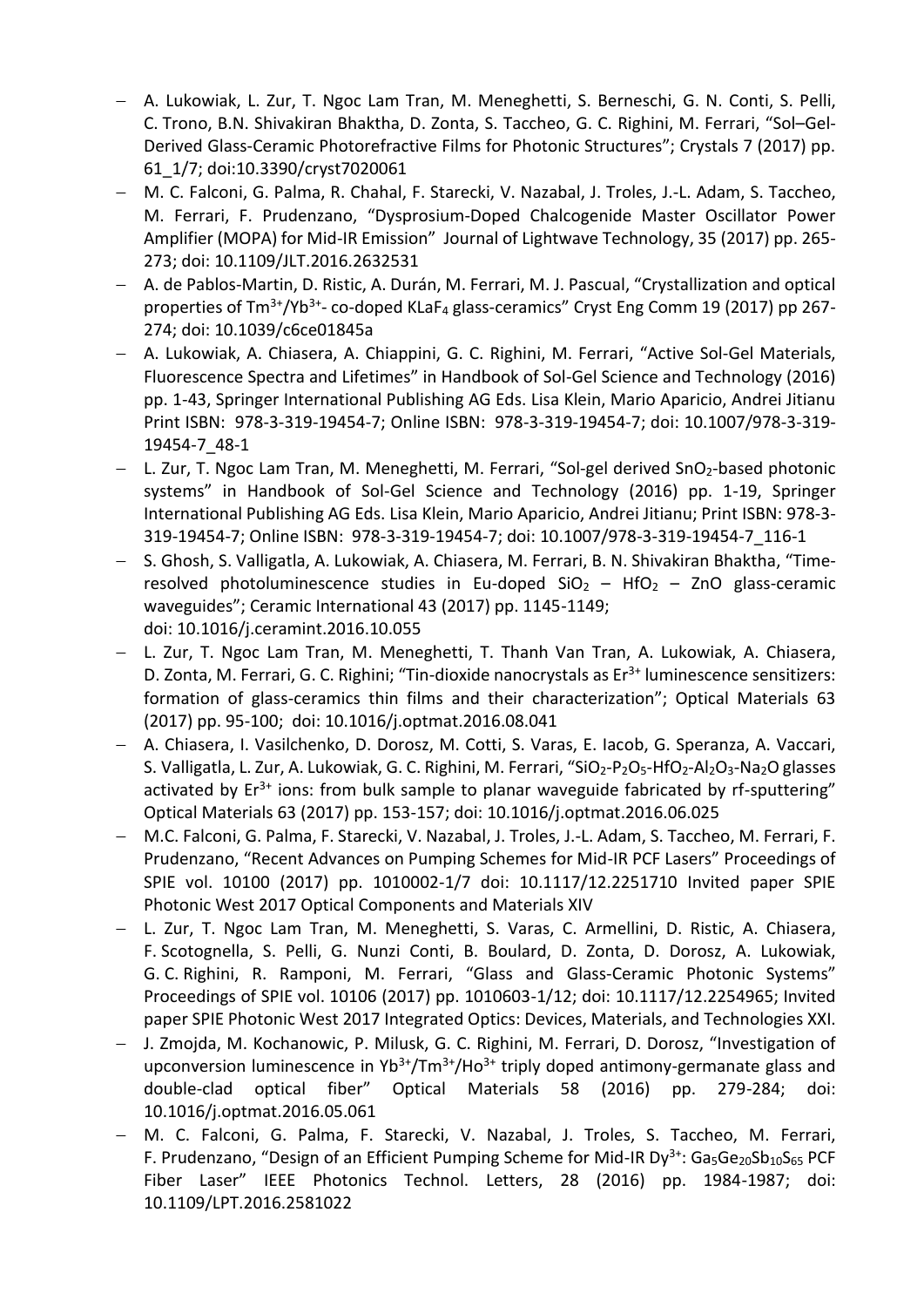- A. Lukowiak, L. Zur, T. Ngoc Lam Tran, M. Meneghetti, S. Berneschi, G. N. Conti, S. Pelli, C. Trono, B.N. Shivakiran Bhaktha, D. Zonta, S. Taccheo, G. C. Righini, M. Ferrari, "Sol–Gel-Derived Glass-Ceramic Photorefractive Films for Photonic Structures"; Crystals 7 (2017) pp. 61\_1/7; doi:10.3390/cryst7020061
- M. C. Falconi, G. Palma, R. Chahal, F. Starecki, V. Nazabal, J. Troles, J.-L. Adam, S. Taccheo, M. Ferrari, F. Prudenzano, "Dysprosium-Doped Chalcogenide Master Oscillator Power Amplifier (MOPA) for Mid-IR Emission" Journal of Lightwave Technology, 35 (2017) pp. 265- 273; doi: 10.1109/JLT.2016.2632531
- A. de Pablos-Martin, D. Ristic, A. Durán, M. Ferrari, M. J. Pascual, "Crystallization and optical properties of Tm<sup>3+</sup>/Yb<sup>3+</sup>- co-doped KLaF<sub>4</sub> glass-ceramics" Cryst Eng Comm 19 (2017) pp 267-274; doi: 10.1039/c6ce01845a
- A. Lukowiak, A. Chiasera, A. Chiappini, G. C. Righini, M. Ferrari, "Active Sol-Gel Materials, Fluorescence Spectra and Lifetimes" in Handbook of Sol-Gel Science and Technology (2016) pp. 1-43, Springer International Publishing AG Eds. Lisa Klein, Mario Aparicio, Andrei Jitianu Print ISBN: 978-3-319-19454-7; Online ISBN: 978-3-319-19454-7; doi: 10.1007/978-3-319- 19454-7\_48-1
- L. Zur, T. Ngoc Lam Tran, M. Meneghetti, M. Ferrari, "Sol-gel derived SnO<sub>2</sub>-based photonic systems" in Handbook of Sol-Gel Science and Technology (2016) pp. 1-19, Springer International Publishing AG Eds. Lisa Klein, Mario Aparicio, Andrei Jitianu; Print ISBN: 978-3- 319-19454-7; Online ISBN: 978-3-319-19454-7; doi: 10.1007/978-3-319-19454-7\_116-1
- S. Ghosh, S. Valligatla, A. Lukowiak, A. Chiasera, M. Ferrari, B. N. Shivakiran Bhaktha, "Timeresolved photoluminescence studies in Eu-doped  $SiO<sub>2</sub> - HfO<sub>2</sub> - ZnO$  glass-ceramic waveguides"; Ceramic International 43 (2017) pp. 1145-1149; doi: 10.1016/j.ceramint.2016.10.055
- L. Zur, T. Ngoc Lam Tran, M. Meneghetti, T. Thanh Van Tran, A. Lukowiak, A. Chiasera, D. Zonta, M. Ferrari, G. C. Righini; "Tin-dioxide nanocrystals as Er<sup>3+</sup> luminescence sensitizers: formation of glass-ceramics thin films and their characterization"; Optical Materials 63 (2017) pp. 95-100; doi: 10.1016/j.optmat.2016.08.041
- A. Chiasera, I. Vasilchenko, D. Dorosz, M. Cotti, S. Varas, E. Iacob, G. Speranza, A. Vaccari, S. Valligatla, L. Zur, A. Lukowiak, G. C. Righini, M. Ferrari, "SiO<sub>2</sub>-P<sub>2</sub>O<sub>5</sub>-HfO<sub>2</sub>-Al<sub>2</sub>O<sub>3</sub>-Na<sub>2</sub>O glasses activated by  $Er^{3+}$  ions: from bulk sample to planar waveguide fabricated by rf-sputtering" Optical Materials 63 (2017) pp. 153-157; doi: 10.1016/j.optmat.2016.06.025
- M.C. Falconi, G. Palma, F. Starecki, V. Nazabal, J. Troles, J.-L. Adam, S. Taccheo, M. Ferrari, F. Prudenzano, "Recent Advances on Pumping Schemes for Mid-IR PCF Lasers" Proceedings of SPIE vol. 10100 (2017) pp. 1010002-1/7 doi: 10.1117/12.2251710 Invited paper SPIE Photonic West 2017 Optical Components and Materials XIV
- L. Zur, T. Ngoc Lam Tran, M. Meneghetti, S. Varas, C. Armellini, D. Ristic, A. Chiasera, F. Scotognella, S. Pelli, G. Nunzi Conti, B. Boulard, D. Zonta, D. Dorosz, A. Lukowiak, G. C. Righini, R. Ramponi, M. Ferrari, "Glass and Glass-Ceramic Photonic Systems" Proceedings of SPIE vol. 10106 (2017) pp. 1010603-1/12; doi: 10.1117/12.2254965; Invited paper SPIE Photonic West 2017 Integrated Optics: Devices, Materials, and Technologies XXI.
- J. Zmojda, M. Kochanowic, P. Milusk, G. C. Righini, M. Ferrari, D. Dorosz, "Investigation of upconversion luminescence in  $Yb^{3+}/Tm^{3+}/Ho^{3+}$  triply doped antimony-germanate glass and double-clad optical fiber" Optical Materials 58 (2016) pp. 279-284; doi: 10.1016/j.optmat.2016.05.061
- M. C. Falconi, G. Palma, F. Starecki, V. Nazabal, J. Troles, S. Taccheo, M. Ferrari, F. Prudenzano, "Design of an Efficient Pumping Scheme for Mid-IR  $Dy^{3+}$ : Ga<sub>5</sub>Ge<sub>20</sub>Sb<sub>10</sub>S<sub>65</sub> PCF Fiber Laser" IEEE Photonics Technol. Letters, 28 (2016) pp. 1984-1987; doi: 10.1109/LPT.2016.2581022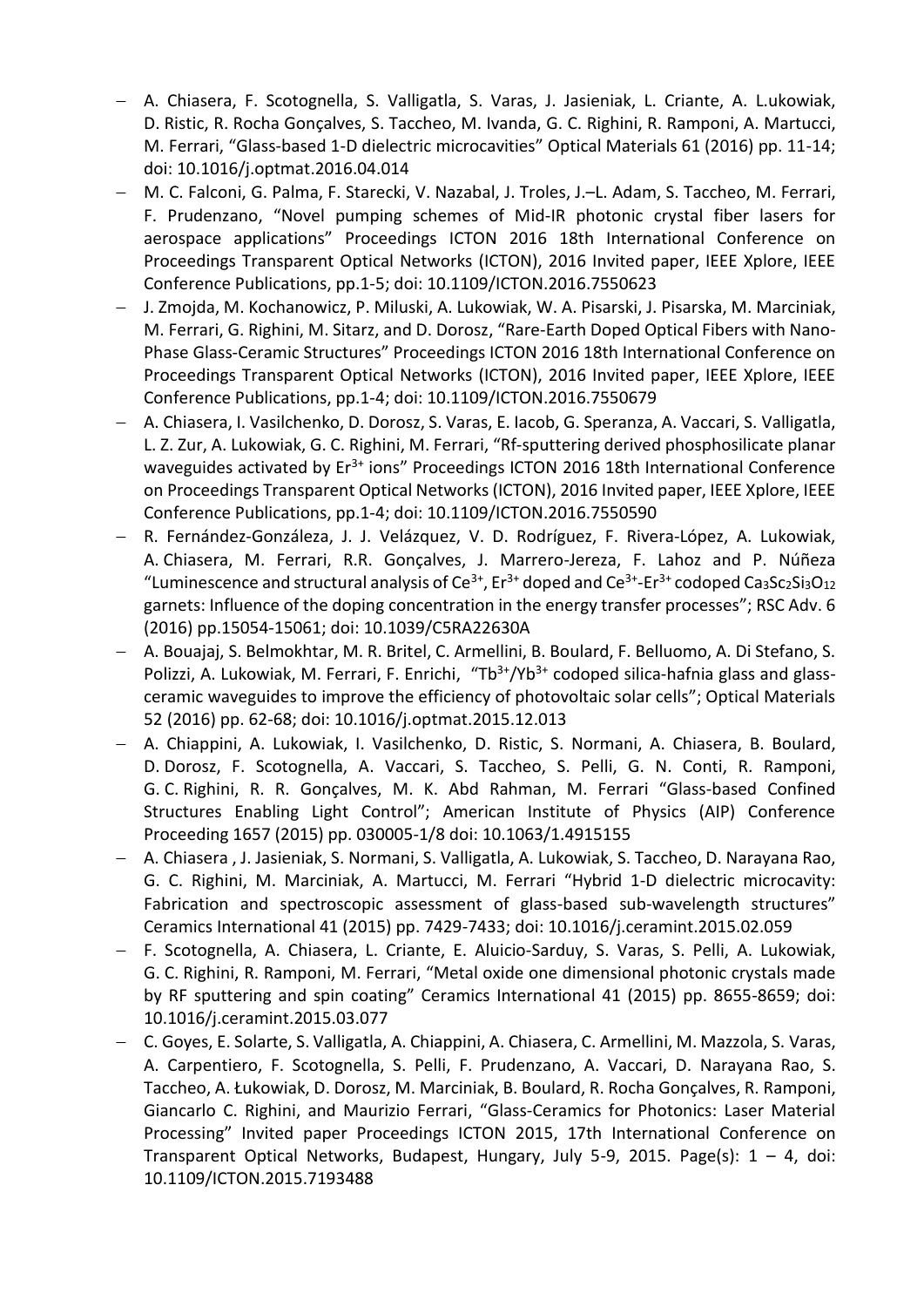- A. Chiasera, F. Scotognella, S. Valligatla, S. Varas, J. Jasieniak, L. Criante, A. L.ukowiak, D. Ristic, R. Rocha Gonçalves, S. Taccheo, M. Ivanda, G. C. Righini, R. Ramponi, A. Martucci, M. Ferrari, "Glass-based 1-D dielectric microcavities" Optical Materials 61 (2016) pp. 11-14; doi: 10.1016/j.optmat.2016.04.014
- M. C. Falconi, G. Palma, F. Starecki, V. Nazabal, J. Troles, J.–L. Adam, S. Taccheo, M. Ferrari, F. Prudenzano, "Novel pumping schemes of Mid-IR photonic crystal fiber lasers for aerospace applications" Proceedings ICTON 2016 18th International Conference on Proceedings Transparent Optical Networks (ICTON), 2016 Invited paper, IEEE Xplore, IEEE Conference Publications, pp.1-5; doi: 10.1109/ICTON.2016.7550623
- J. Zmojda, M. Kochanowicz, P. Miluski, A. Lukowiak, W. A. Pisarski, J. Pisarska, M. Marciniak, M. Ferrari, G. Righini, M. Sitarz, and D. Dorosz, "Rare-Earth Doped Optical Fibers with Nano-Phase Glass-Ceramic Structures" Proceedings ICTON 2016 18th International Conference on Proceedings Transparent Optical Networks (ICTON), 2016 Invited paper, IEEE Xplore, IEEE Conference Publications, pp.1-4; doi: 10.1109/ICTON.2016.7550679
- A. Chiasera, I. Vasilchenko, D. Dorosz, S. Varas, E. Iacob, G. Speranza, A. Vaccari, S. Valligatla, L. Z. Zur, A. Lukowiak, G. C. Righini, M. Ferrari, "Rf-sputtering derived phosphosilicate planar waveguides activated by Er<sup>3+</sup> ions" Proceedings ICTON 2016 18th International Conference on Proceedings Transparent Optical Networks (ICTON), 2016 Invited paper, IEEE Xplore, IEEE Conference Publications, pp.1-4; doi: 10.1109/ICTON.2016.7550590
- R. Fernández-Gonzáleza, J. J. Velázquez, V. D. Rodríguez, F. Rivera-López, A. Lukowiak, A. Chiasera, M. Ferrari, R.R. Gonçalves, J. Marrero-Jereza, F. Lahoz and P. Núñeza "Luminescence and structural analysis of Ce<sup>3+</sup>, Er<sup>3+</sup> doped and Ce<sup>3+</sup>-Er<sup>3+</sup> codoped Ca<sub>3</sub>Sc<sub>2</sub>Si<sub>3</sub>O<sub>12</sub> garnets: Influence of the doping concentration in the energy transfer processes"; RSC Adv. 6 (2016) pp.15054-15061; doi: 10.1039/C5RA22630A
- A. Bouajaj, S. Belmokhtar, M. R. Britel, C. Armellini, B. Boulard, F. Belluomo, A. Di Stefano, S. Polizzi, A. Lukowiak, M. Ferrari, F. Enrichi, "Tb $3+/Yb^3+$  codoped silica-hafnia glass and glassceramic waveguides to improve the efficiency of photovoltaic solar cells"; Optical Materials 52 (2016) pp. 62-68; doi: 10.1016/j.optmat.2015.12.013
- A. Chiappini, A. Lukowiak, I. Vasilchenko, D. Ristic, S. Normani, A. Chiasera, B. Boulard, D. Dorosz, F. Scotognella, A. Vaccari, S. Taccheo, S. Pelli, G. N. Conti, R. Ramponi, G. C. Righini, R. R. Gonçalves, M. K. Abd Rahman, M. Ferrari "Glass-based Confined Structures Enabling Light Control"; American Institute of Physics (AIP) Conference Proceeding 1657 (2015) pp. 030005-1/8 doi: 10.1063/1.4915155
- A. Chiasera , J. Jasieniak, S. Normani, S. Valligatla, A. Lukowiak, S. Taccheo, D. Narayana Rao, G. C. Righini, M. Marciniak, A. Martucci, M. Ferrari "Hybrid 1-D dielectric microcavity: Fabrication and spectroscopic assessment of glass-based sub-wavelength structures" Ceramics International 41 (2015) pp. 7429-7433; doi: 10.1016/j.ceramint.2015.02.059
- F. Scotognella, A. Chiasera, L. Criante, E. Aluicio-Sarduy, S. Varas, S. Pelli, A. Lukowiak, G. C. Righini, R. Ramponi, M. Ferrari, "Metal oxide one dimensional photonic crystals made by RF sputtering and spin coating" Ceramics International 41 (2015) pp. 8655-8659; doi: 10.1016/j.ceramint.2015.03.077
- C. Goyes, E. Solarte, S. Valligatla, A. Chiappini, A. Chiasera, C. Armellini, M. Mazzola, S. Varas, A. Carpentiero, F. Scotognella, S. Pelli, F. Prudenzano, A. Vaccari, D. Narayana Rao, S. Taccheo, A. Łukowiak, D. Dorosz, M. Marciniak, B. Boulard, R. Rocha Gonçalves, R. Ramponi, Giancarlo C. Righini, and Maurizio Ferrari, "Glass-Ceramics for Photonics: Laser Material Processing" Invited paper Proceedings ICTON 2015, 17th International Conference on Transparent Optical Networks, Budapest, Hungary, July 5-9, 2015. Page(s):  $1 - 4$ , doi: 10.1109/ICTON.2015.7193488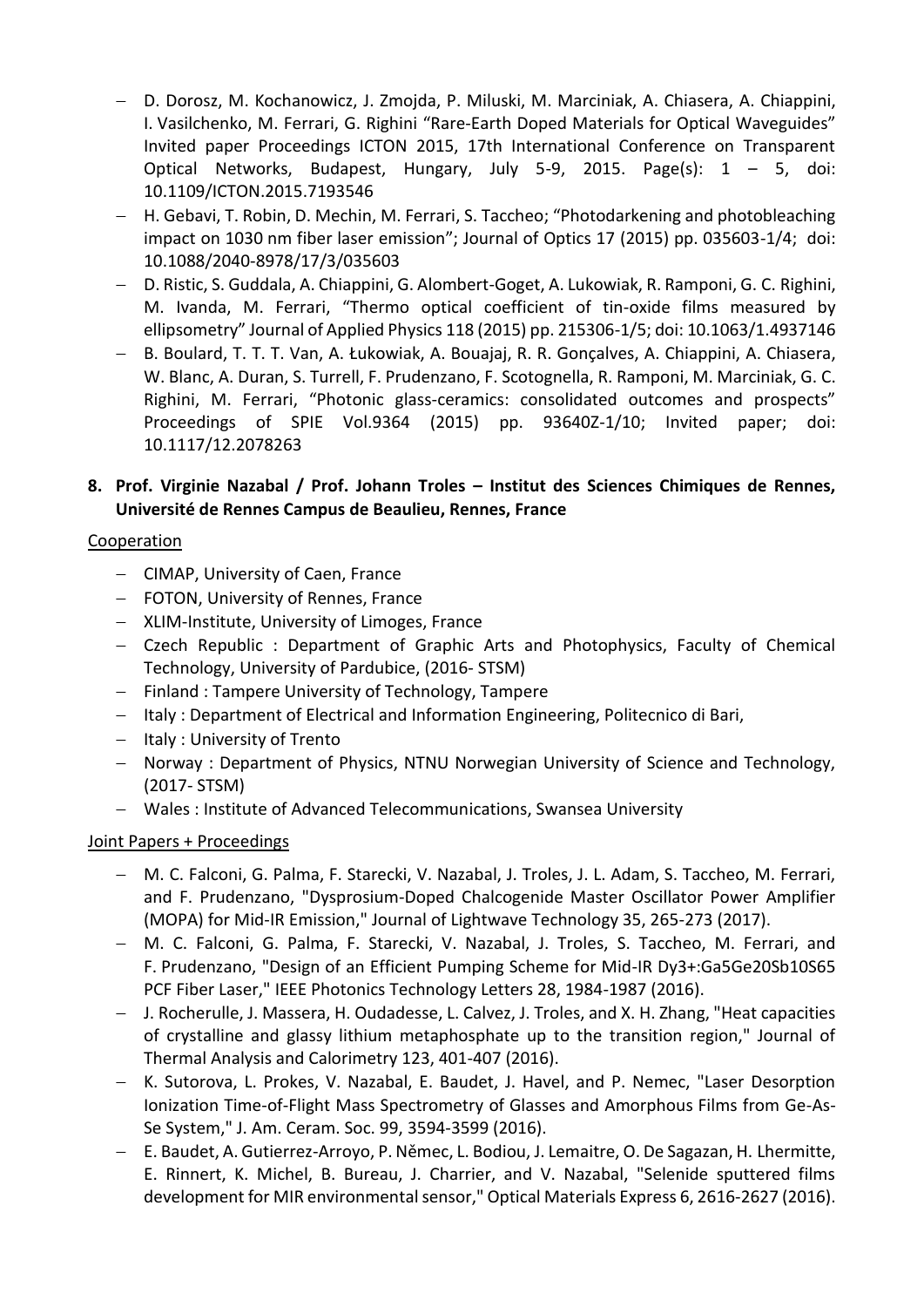- D. Dorosz, M. Kochanowicz, J. Zmojda, P. Miluski, M. Marciniak, A. Chiasera, A. Chiappini, I. Vasilchenko, M. Ferrari, G. Righini "Rare-Earth Doped Materials for Optical Waveguides" Invited paper Proceedings ICTON 2015, 17th International Conference on Transparent Optical Networks, Budapest, Hungary, July 5-9, 2015. Page(s): 1 – 5, doi: 10.1109/ICTON.2015.7193546
- H. Gebavi, T. Robin, D. Mechin, M. Ferrari, S. Taccheo; "Photodarkening and photobleaching impact on 1030 nm fiber laser emission"; Journal of Optics 17 (2015) pp. 035603-1/4; doi: 10.1088/2040-8978/17/3/035603
- D. Ristic, S. Guddala, A. Chiappini, G. Alombert-Goget, A. Lukowiak, R. Ramponi, G. C. Righini, M. Ivanda, M. Ferrari, "Thermo optical coefficient of tin-oxide films measured by ellipsometry" Journal of Applied Physics 118 (2015) pp. 215306-1/5; doi: 10.1063/1.4937146
- B. Boulard, T. T. T. Van, A. Łukowiak, A. Bouajaj, R. R. Gonçalves, A. Chiappini, A. Chiasera, W. Blanc, A. Duran, S. Turrell, F. Prudenzano, F. Scotognella, R. Ramponi, M. Marciniak, G. C. Righini, M. Ferrari, "Photonic glass-ceramics: consolidated outcomes and prospects" Proceedings of SPIE Vol.9364 (2015) pp. 93640Z-1/10; Invited paper; doi: 10.1117/12.2078263

### **8. Prof. Virginie Nazabal / Prof. Johann Troles – Institut des Sciences Chimiques de Rennes, Université de Rennes Campus de Beaulieu, Rennes, France**

## Cooperation

- CIMAP, University of Caen, France
- FOTON, University of Rennes, France
- XLIM-Institute, University of Limoges, France
- Czech Republic : Department of Graphic Arts and Photophysics, Faculty of Chemical Technology, University of Pardubice, (2016- STSM)
- Finland : Tampere University of Technology, Tampere
- Italy : Department of Electrical and Information Engineering, Politecnico di Bari,
- Italy: University of Trento
- Norway : Department of Physics, NTNU Norwegian University of Science and Technology, (2017- STSM)
- Wales : Institute of Advanced Telecommunications, Swansea University

#### Joint Papers + Proceedings

- M. C. Falconi, G. Palma, F. Starecki, V. Nazabal, J. Troles, J. L. Adam, S. Taccheo, M. Ferrari, and F. Prudenzano, "Dysprosium-Doped Chalcogenide Master Oscillator Power Amplifier (MOPA) for Mid-IR Emission," Journal of Lightwave Technology 35, 265-273 (2017).
- M. C. Falconi, G. Palma, F. Starecki, V. Nazabal, J. Troles, S. Taccheo, M. Ferrari, and F. Prudenzano, "Design of an Efficient Pumping Scheme for Mid-IR Dy3+:Ga5Ge20Sb10S65 PCF Fiber Laser," IEEE Photonics Technology Letters 28, 1984-1987 (2016).
- J. Rocherulle, J. Massera, H. Oudadesse, L. Calvez, J. Troles, and X. H. Zhang, "Heat capacities of crystalline and glassy lithium metaphosphate up to the transition region," Journal of Thermal Analysis and Calorimetry 123, 401-407 (2016).
- K. Sutorova, L. Prokes, V. Nazabal, E. Baudet, J. Havel, and P. Nemec, "Laser Desorption Ionization Time-of-Flight Mass Spectrometry of Glasses and Amorphous Films from Ge-As-Se System," J. Am. Ceram. Soc. 99, 3594-3599 (2016).
- E. Baudet, A. Gutierrez-Arroyo, P. Němec, L. Bodiou, J. Lemaitre, O. De Sagazan, H. Lhermitte, E. Rinnert, K. Michel, B. Bureau, J. Charrier, and V. Nazabal, "Selenide sputtered films development for MIR environmental sensor," Optical Materials Express 6, 2616-2627 (2016).